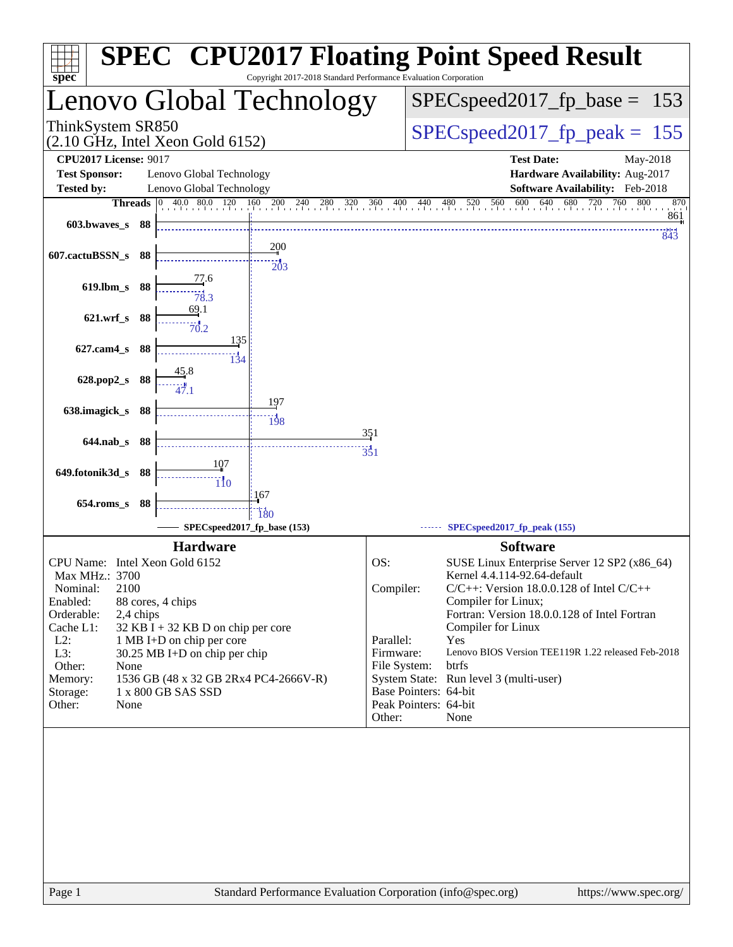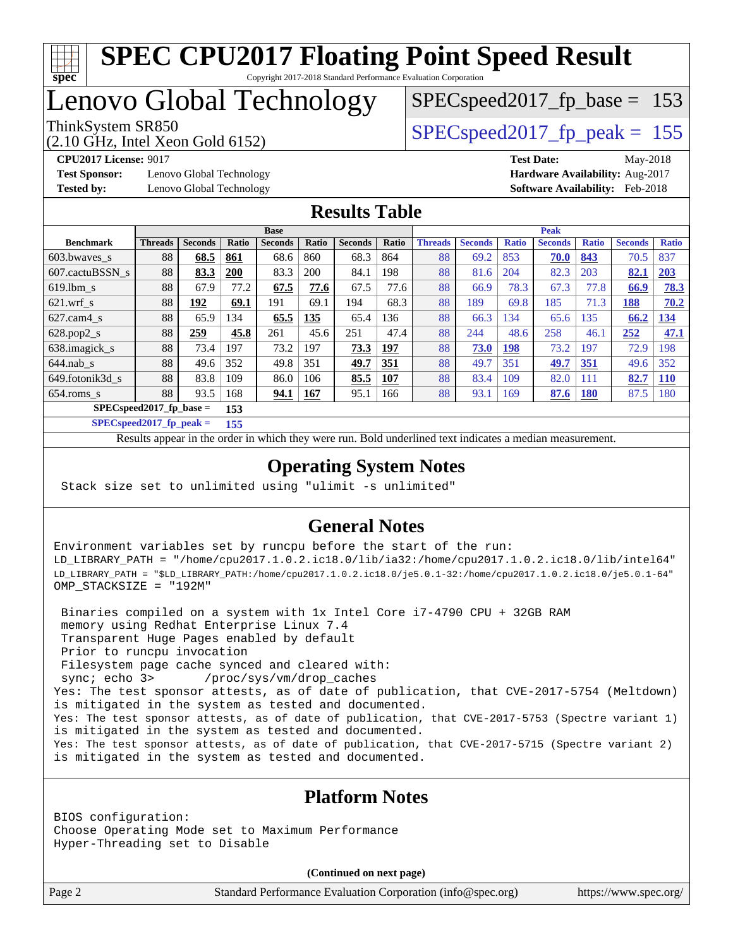

Lenovo Global Technology

SPECspeed2017 fp base =  $153$ 

## ThinkSystem SR850<br>  $SPEC speed2017$  fp\_peak = 155

(2.10 GHz, Intel Xeon Gold 6152)

**[Test Sponsor:](http://www.spec.org/auto/cpu2017/Docs/result-fields.html#TestSponsor)** Lenovo Global Technology **[Hardware Availability:](http://www.spec.org/auto/cpu2017/Docs/result-fields.html#HardwareAvailability)** Aug-2017

**[CPU2017 License:](http://www.spec.org/auto/cpu2017/Docs/result-fields.html#CPU2017License)** 9017 **[Test Date:](http://www.spec.org/auto/cpu2017/Docs/result-fields.html#TestDate)** May-2018

**[Tested by:](http://www.spec.org/auto/cpu2017/Docs/result-fields.html#Testedby)** Lenovo Global Technology **[Software Availability:](http://www.spec.org/auto/cpu2017/Docs/result-fields.html#SoftwareAvailability)** Feb-2018

## **[Results Table](http://www.spec.org/auto/cpu2017/Docs/result-fields.html#ResultsTable)**

|                             | <b>Base</b>    |                |       |                |       | <b>Peak</b>    |       |                |                |              |                |              |                |              |
|-----------------------------|----------------|----------------|-------|----------------|-------|----------------|-------|----------------|----------------|--------------|----------------|--------------|----------------|--------------|
| <b>Benchmark</b>            | <b>Threads</b> | <b>Seconds</b> | Ratio | <b>Seconds</b> | Ratio | <b>Seconds</b> | Ratio | <b>Threads</b> | <b>Seconds</b> | <b>Ratio</b> | <b>Seconds</b> | <b>Ratio</b> | <b>Seconds</b> | <b>Ratio</b> |
| $603.bwaves$ s              | 88             | 68.5           | 861   | 68.6           | 860   | 68.3           | 864   | 88             | 69.2           | 853          | 70.0           | 843          | 70.5           | 837          |
| 607.cactuBSSN s             | 88             | 83.3           | 200   | 83.3           | 200   | 84.1           | 198   | 88             | 81.6           | 204          | 82.3           | 203          | 82.1           | 203          |
| $619.1$ bm s                | 88             | 67.9           | 77.2  | 67.5           | 77.6  | 67.5           | 77.6  | 88             | 66.9           | 78.3         | 67.3           | 77.8         | 66.9           | 78.3         |
| $621.wrf$ s                 | 88             | 192            | 69.1  | 191            | 69.1  | 194            | 68.3  | 88             | 189            | 69.8         | 185            | 71.3         | 188            | 70.2         |
| $627$ .cam4 s               | 88             | 65.9           | 34    | 65.5           | 135   | 65.4           | 136   | 88             | 66.3           | 134          | 65.6           | 135          | 66.2           | 134          |
| $628.pop2_s$                | 88             | 259            | 45.8  | 261            | 45.6  | 251            | 47.4  | 88             | 244            | 48.6         | 258            | 46.1         | 252            | 47.1         |
| 638.imagick_s               | 88             | 73.4           | 197   | 73.2           | 197   | 73.3           | 197   | 88             | 73.0           | 198          | 73.2           | 197          | 72.9           | 198          |
| $644$ .nab s                | 88             | 49.6           | 352   | 49.8           | 351   | 49.7           | 351   | 88             | 49.7           | 351          | 49.7           | 351          | 49.6           | 352          |
| 649.fotonik3d s             | 88             | 83.8           | 109   | 86.0           | 106   | 85.5           | 107   | 88             | 83.4           | 109          | 82.0           | 111          | 82.7           | <b>110</b>   |
| $654$ .roms s               | 88             | 93.5           | 168   | 94.1           | 167   | 95.1           | 166   | 88             | 93.1           | 169          | 87.6           | 180          | 87.5           | 180          |
| $SPEC speed2017_fp\_base =$ | 153            |                |       |                |       |                |       |                |                |              |                |              |                |              |

**[SPECspeed2017\\_fp\\_peak =](http://www.spec.org/auto/cpu2017/Docs/result-fields.html#SPECspeed2017fppeak) 155**

Results appear in the [order in which they were run.](http://www.spec.org/auto/cpu2017/Docs/result-fields.html#RunOrder) Bold underlined text [indicates a median measurement](http://www.spec.org/auto/cpu2017/Docs/result-fields.html#Median).

## **[Operating System Notes](http://www.spec.org/auto/cpu2017/Docs/result-fields.html#OperatingSystemNotes)**

Stack size set to unlimited using "ulimit -s unlimited"

## **[General Notes](http://www.spec.org/auto/cpu2017/Docs/result-fields.html#GeneralNotes)**

Environment variables set by runcpu before the start of the run: LD\_LIBRARY\_PATH = "/home/cpu2017.1.0.2.ic18.0/lib/ia32:/home/cpu2017.1.0.2.ic18.0/lib/intel64" LD\_LIBRARY\_PATH = "\$LD\_LIBRARY\_PATH:/home/cpu2017.1.0.2.ic18.0/je5.0.1-32:/home/cpu2017.1.0.2.ic18.0/je5.0.1-64" OMP\_STACKSIZE = "192M"

 Binaries compiled on a system with 1x Intel Core i7-4790 CPU + 32GB RAM memory using Redhat Enterprise Linux 7.4 Transparent Huge Pages enabled by default Prior to runcpu invocation Filesystem page cache synced and cleared with: sync; echo 3> /proc/sys/vm/drop\_caches Yes: The test sponsor attests, as of date of publication, that CVE-2017-5754 (Meltdown) is mitigated in the system as tested and documented. Yes: The test sponsor attests, as of date of publication, that CVE-2017-5753 (Spectre variant 1) is mitigated in the system as tested and documented. Yes: The test sponsor attests, as of date of publication, that CVE-2017-5715 (Spectre variant 2) is mitigated in the system as tested and documented.

### **[Platform Notes](http://www.spec.org/auto/cpu2017/Docs/result-fields.html#PlatformNotes)**

BIOS configuration: Choose Operating Mode set to Maximum Performance Hyper-Threading set to Disable

**(Continued on next page)**

Page 2 Standard Performance Evaluation Corporation [\(info@spec.org\)](mailto:info@spec.org) <https://www.spec.org/>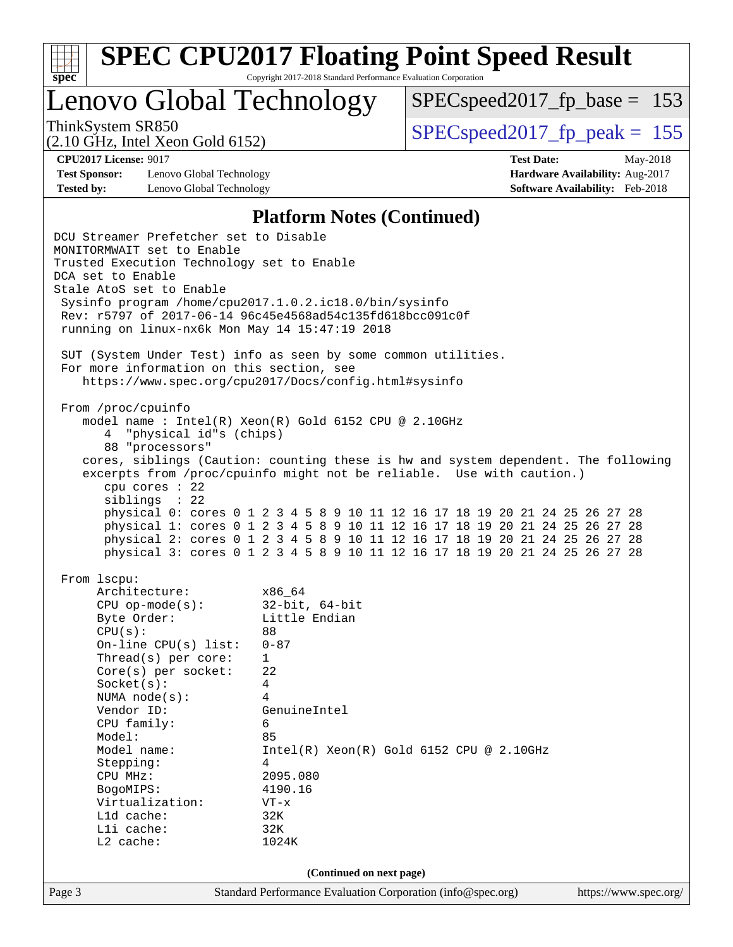

Lenovo Global Technology

 $SPEC speed2017_fp\_base = 153$ 

(2.10 GHz, Intel Xeon Gold 6152)

ThinkSystem SR850  $SPEC speed2017$  fp\_peak = 155

**[Test Sponsor:](http://www.spec.org/auto/cpu2017/Docs/result-fields.html#TestSponsor)** Lenovo Global Technology **[Hardware Availability:](http://www.spec.org/auto/cpu2017/Docs/result-fields.html#HardwareAvailability)** Aug-2017 **[Tested by:](http://www.spec.org/auto/cpu2017/Docs/result-fields.html#Testedby)** Lenovo Global Technology **[Software Availability:](http://www.spec.org/auto/cpu2017/Docs/result-fields.html#SoftwareAvailability)** Feb-2018

**[CPU2017 License:](http://www.spec.org/auto/cpu2017/Docs/result-fields.html#CPU2017License)** 9017 **[Test Date:](http://www.spec.org/auto/cpu2017/Docs/result-fields.html#TestDate)** May-2018

#### **[Platform Notes \(Continued\)](http://www.spec.org/auto/cpu2017/Docs/result-fields.html#PlatformNotes)**

Page 3 Standard Performance Evaluation Corporation [\(info@spec.org\)](mailto:info@spec.org) <https://www.spec.org/> DCU Streamer Prefetcher set to Disable MONITORMWAIT set to Enable Trusted Execution Technology set to Enable DCA set to Enable Stale AtoS set to Enable Sysinfo program /home/cpu2017.1.0.2.ic18.0/bin/sysinfo Rev: r5797 of 2017-06-14 96c45e4568ad54c135fd618bcc091c0f running on linux-nx6k Mon May 14 15:47:19 2018 SUT (System Under Test) info as seen by some common utilities. For more information on this section, see <https://www.spec.org/cpu2017/Docs/config.html#sysinfo> From /proc/cpuinfo model name : Intel(R) Xeon(R) Gold 6152 CPU @ 2.10GHz 4 "physical id"s (chips) 88 "processors" cores, siblings (Caution: counting these is hw and system dependent. The following excerpts from /proc/cpuinfo might not be reliable. Use with caution.) cpu cores : 22 siblings : 22 physical 0: cores 0 1 2 3 4 5 8 9 10 11 12 16 17 18 19 20 21 24 25 26 27 28 physical 1: cores 0 1 2 3 4 5 8 9 10 11 12 16 17 18 19 20 21 24 25 26 27 28 physical 2: cores 0 1 2 3 4 5 8 9 10 11 12 16 17 18 19 20 21 24 25 26 27 28 physical 3: cores 0 1 2 3 4 5 8 9 10 11 12 16 17 18 19 20 21 24 25 26 27 28 From lscpu: Architecture: x86\_64 CPU op-mode(s): 32-bit, 64-bit Byte Order: Little Endian CPU(s): 88 On-line CPU(s) list: 0-87 Thread(s) per core: 1 Core(s) per socket: 22 Socket(s): 4 NUMA node(s): 4 Vendor ID: GenuineIntel CPU family: 6 Model: 85 Model name:  $Intel(R)$  Xeon(R) Gold 6152 CPU @ 2.10GHz Stepping: 4 CPU MHz: 2095.080 BogoMIPS: 4190.16 Virtualization: VT-x L1d cache: 32K L1i cache: 32K L2 cache: 1024K **(Continued on next page)**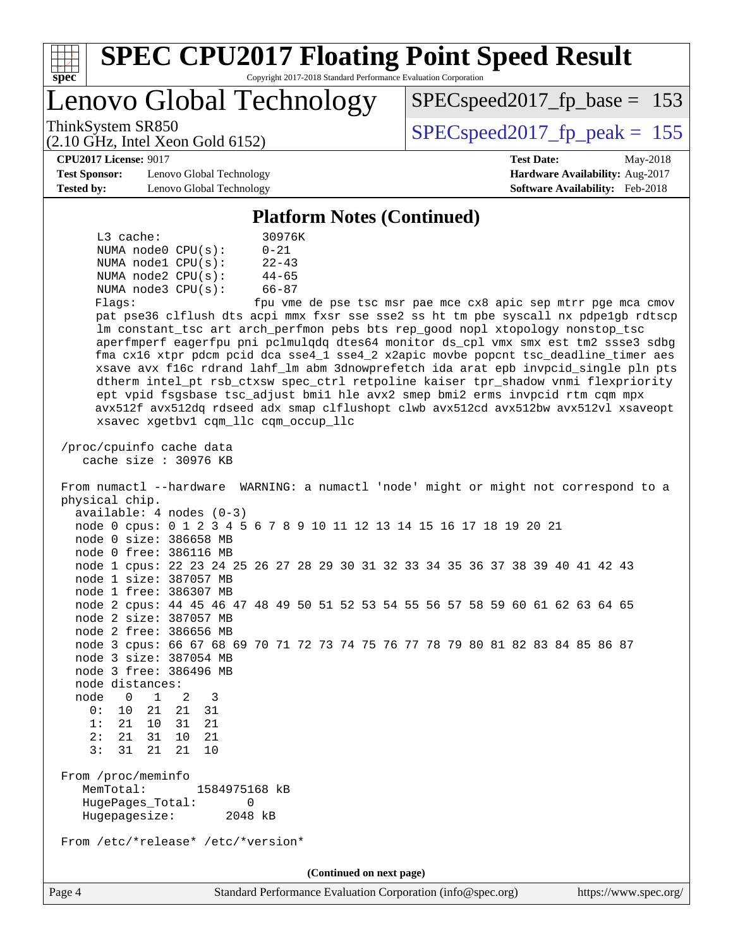| <b>SPEC CPU2017 Floating Point Speed Result</b><br>Copyright 2017-2018 Standard Performance Evaluation Corporation<br>$spec^*$                                                                                                                                                                                                                                                                                                                                                                                                                                                                                                                                                                                                                                                                                                                                                                                                                                                             |                                                                                                            |                                |                                                               |  |  |  |
|--------------------------------------------------------------------------------------------------------------------------------------------------------------------------------------------------------------------------------------------------------------------------------------------------------------------------------------------------------------------------------------------------------------------------------------------------------------------------------------------------------------------------------------------------------------------------------------------------------------------------------------------------------------------------------------------------------------------------------------------------------------------------------------------------------------------------------------------------------------------------------------------------------------------------------------------------------------------------------------------|------------------------------------------------------------------------------------------------------------|--------------------------------|---------------------------------------------------------------|--|--|--|
| Lenovo Global Technology                                                                                                                                                                                                                                                                                                                                                                                                                                                                                                                                                                                                                                                                                                                                                                                                                                                                                                                                                                   |                                                                                                            |                                | $SPEC speed2017_f p\_base = 153$                              |  |  |  |
| ThinkSystem SR850<br>$(2.10 \text{ GHz}, \text{Intel Xeon Gold } 6152)$                                                                                                                                                                                                                                                                                                                                                                                                                                                                                                                                                                                                                                                                                                                                                                                                                                                                                                                    |                                                                                                            | $SPEC speed2017_fp_peak = 155$ |                                                               |  |  |  |
| <b>CPU2017 License: 9017</b><br><b>Test Sponsor:</b><br>Lenovo Global Technology<br><b>Tested by:</b><br>Lenovo Global Technology                                                                                                                                                                                                                                                                                                                                                                                                                                                                                                                                                                                                                                                                                                                                                                                                                                                          | <b>Test Date:</b><br>May-2018<br>Hardware Availability: Aug-2017<br><b>Software Availability:</b> Feb-2018 |                                |                                                               |  |  |  |
| <b>Platform Notes (Continued)</b>                                                                                                                                                                                                                                                                                                                                                                                                                                                                                                                                                                                                                                                                                                                                                                                                                                                                                                                                                          |                                                                                                            |                                |                                                               |  |  |  |
| L3 cache:<br>30976K<br>NUMA node0 CPU(s):<br>$0 - 21$<br>NUMA nodel $CPU(s):$<br>$22 - 43$<br>NUMA node2 CPU(s):<br>$44 - 65$<br>$66 - 87$<br>NUMA node3 CPU(s):<br>Flagg:<br>pat pse36 clflush dts acpi mmx fxsr sse sse2 ss ht tm pbe syscall nx pdpelgb rdtscp<br>lm constant_tsc art arch_perfmon pebs bts rep_good nopl xtopology nonstop_tsc<br>aperfmperf eagerfpu pni pclmulqdq dtes64 monitor ds_cpl vmx smx est tm2 ssse3 sdbg<br>fma cx16 xtpr pdcm pcid dca sse4_1 sse4_2 x2apic movbe popcnt tsc_deadline_timer aes<br>xsave avx f16c rdrand lahf_lm abm 3dnowprefetch ida arat epb invpcid_single pln pts<br>dtherm intel_pt rsb_ctxsw spec_ctrl retpoline kaiser tpr_shadow vnmi flexpriority<br>ept vpid fsgsbase tsc_adjust bmil hle avx2 smep bmi2 erms invpcid rtm cqm mpx<br>avx512f avx512dq rdseed adx smap clflushopt clwb avx512cd avx512bw avx512vl xsaveopt<br>xsavec xgetbv1 cqm_llc cqm_occup_llc                                                              |                                                                                                            |                                | fpu vme de pse tsc msr pae mce cx8 apic sep mtrr pge mca cmov |  |  |  |
| cache size : $30976$ KB<br>From numactl --hardware WARNING: a numactl 'node' might or might not correspond to a<br>physical chip.<br>$available: 4 nodes (0-3)$<br>node 0 cpus: 0 1 2 3 4 5 6 7 8 9 10 11 12 13 14 15 16 17 18 19 20 21<br>node 0 size: 386658 MB<br>node 0 free: 386116 MB<br>node 1 cpus: 22 23 24 25 26 27 28 29 30 31 32 33 34 35 36 37 38 39 40 41 42 43<br>node 1 size: 387057 MB<br>node 1 free: 386307 MB<br>node 2 cpus: 44 45 46 47 48 49 50 51 52 53 54 55 56 57 58 59 60 61 62 63 64 65<br>node 2 size: 387057 MB<br>node 2 free: 386656 MB<br>node 3 cpus: 66 67 68 69 70 71 72 73 74 75 76 77 78 79 80 81 82 83 84 85 86 87<br>node 3 size: 387054 MB<br>node 3 free: 386496 MB<br>node distances:<br>node<br>$\overline{0}$<br>$\mathbf{1}$<br>2<br>3<br>0: 10 21 21 31<br>1: 21 10<br>31 21<br>2:<br>10 21<br>21 31<br>3:<br>31<br>21<br>21<br>10<br>From /proc/meminfo<br>MemTotal:<br>1584975168 kB<br>HugePages_Total:<br>0<br>Hugepagesize:<br>2048 kB |                                                                                                            |                                |                                                               |  |  |  |
| From /etc/*release* /etc/*version*                                                                                                                                                                                                                                                                                                                                                                                                                                                                                                                                                                                                                                                                                                                                                                                                                                                                                                                                                         |                                                                                                            |                                |                                                               |  |  |  |
| Page 4<br>Standard Performance Evaluation Corporation (info@spec.org)                                                                                                                                                                                                                                                                                                                                                                                                                                                                                                                                                                                                                                                                                                                                                                                                                                                                                                                      | (Continued on next page)                                                                                   |                                | https://www.spec.org/                                         |  |  |  |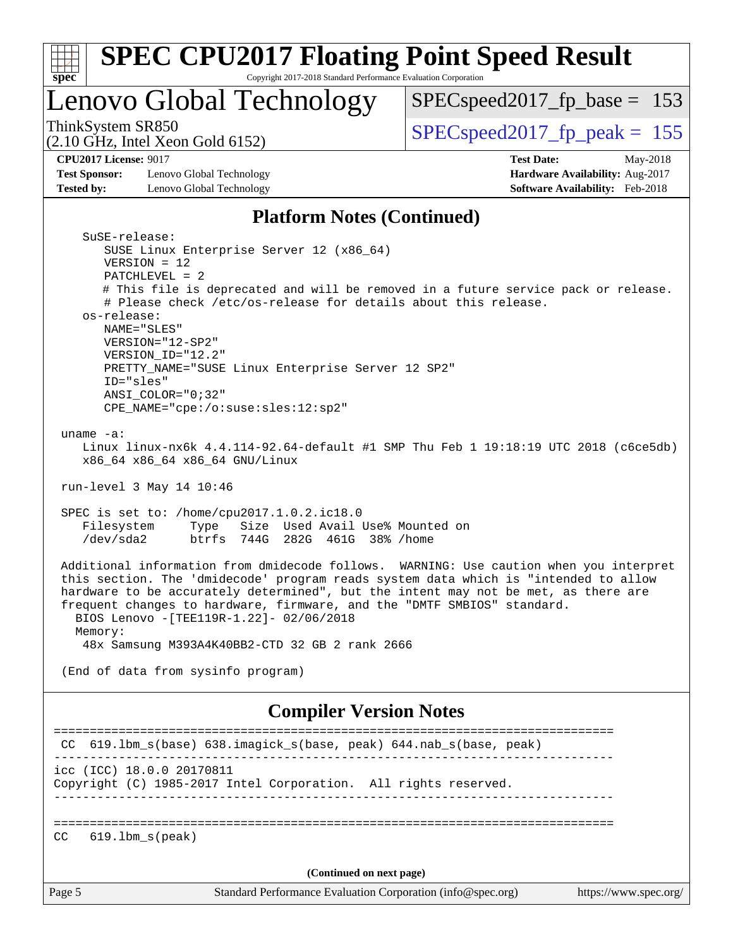| <b>SPEC CPU2017 Floating Point Speed Result</b><br>Copyright 2017-2018 Standard Performance Evaluation Corporation<br>$spec^*$                                                                                                                                                                                                                                                                                                                                                                                                                                                                                                   |                                                                                                     |
|----------------------------------------------------------------------------------------------------------------------------------------------------------------------------------------------------------------------------------------------------------------------------------------------------------------------------------------------------------------------------------------------------------------------------------------------------------------------------------------------------------------------------------------------------------------------------------------------------------------------------------|-----------------------------------------------------------------------------------------------------|
| Lenovo Global Technology                                                                                                                                                                                                                                                                                                                                                                                                                                                                                                                                                                                                         | $SPEC speed2017_fp\_base = 153$                                                                     |
| ThinkSystem SR850<br>$(2.10 \text{ GHz}, \text{Intel Xeon Gold } 6152)$                                                                                                                                                                                                                                                                                                                                                                                                                                                                                                                                                          | $SPEC speed2017_fp_peak = 155$                                                                      |
| <b>CPU2017 License: 9017</b><br><b>Test Sponsor:</b><br>Lenovo Global Technology<br>Lenovo Global Technology<br><b>Tested by:</b>                                                                                                                                                                                                                                                                                                                                                                                                                                                                                                | <b>Test Date:</b><br>May-2018<br>Hardware Availability: Aug-2017<br>Software Availability: Feb-2018 |
| <b>Platform Notes (Continued)</b>                                                                                                                                                                                                                                                                                                                                                                                                                                                                                                                                                                                                |                                                                                                     |
| SuSE-release:<br>SUSE Linux Enterprise Server 12 (x86_64)<br>$VERSION = 12$<br>$PATCHLEVEL = 2$<br># This file is deprecated and will be removed in a future service pack or release.<br># Please check /etc/os-release for details about this release.<br>os-release:<br>NAME="SLES"<br>VERSION="12-SP2"<br>VERSION_ID="12.2"<br>PRETTY_NAME="SUSE Linux Enterprise Server 12 SP2"<br>ID="sles"<br>ANSI COLOR="0;32"<br>CPE_NAME="cpe:/o:suse:sles:12:sp2"<br>uname $-a$ :<br>Linux linux-nx6k 4.4.114-92.64-default #1 SMP Thu Feb 1 19:18:19 UTC 2018 (c6ce5db)<br>x86_64 x86_64 x86_64 GNU/Linux<br>run-level 3 May 14 10:46 |                                                                                                     |
| SPEC is set to: /home/cpu2017.1.0.2.ic18.0<br>Size Used Avail Use% Mounted on<br>Filesystem<br>Type<br>$/\text{dev/sda2}$<br>btrfs 744G 282G 461G 38% / home                                                                                                                                                                                                                                                                                                                                                                                                                                                                     |                                                                                                     |
| Additional information from dmidecode follows. WARNING: Use caution when you interpret<br>this section. The 'dmidecode' program reads system data which is "intended to allow<br>hardware to be accurately determined", but the intent may not be met, as there are<br>frequent changes to hardware, firmware, and the "DMTF SMBIOS" standard.<br>BIOS Lenovo - [TEE119R-1.22] - 02/06/2018<br>Memory:<br>48x Samsung M393A4K40BB2-CTD 32 GB 2 rank 2666                                                                                                                                                                         |                                                                                                     |
| (End of data from sysinfo program)                                                                                                                                                                                                                                                                                                                                                                                                                                                                                                                                                                                               |                                                                                                     |
| <b>Compiler Version Notes</b>                                                                                                                                                                                                                                                                                                                                                                                                                                                                                                                                                                                                    |                                                                                                     |
| CC 619.1bm_s(base) 638.imagick_s(base, peak) 644.nab_s(base, peak)                                                                                                                                                                                                                                                                                                                                                                                                                                                                                                                                                               |                                                                                                     |
| icc (ICC) 18.0.0 20170811<br>Copyright (C) 1985-2017 Intel Corporation. All rights reserved.<br>----------------------                                                                                                                                                                                                                                                                                                                                                                                                                                                                                                           |                                                                                                     |
| $619.1$ bm $s$ (peak)<br>CC.                                                                                                                                                                                                                                                                                                                                                                                                                                                                                                                                                                                                     |                                                                                                     |

**(Continued on next page)**

Page 5 Standard Performance Evaluation Corporation [\(info@spec.org\)](mailto:info@spec.org) <https://www.spec.org/>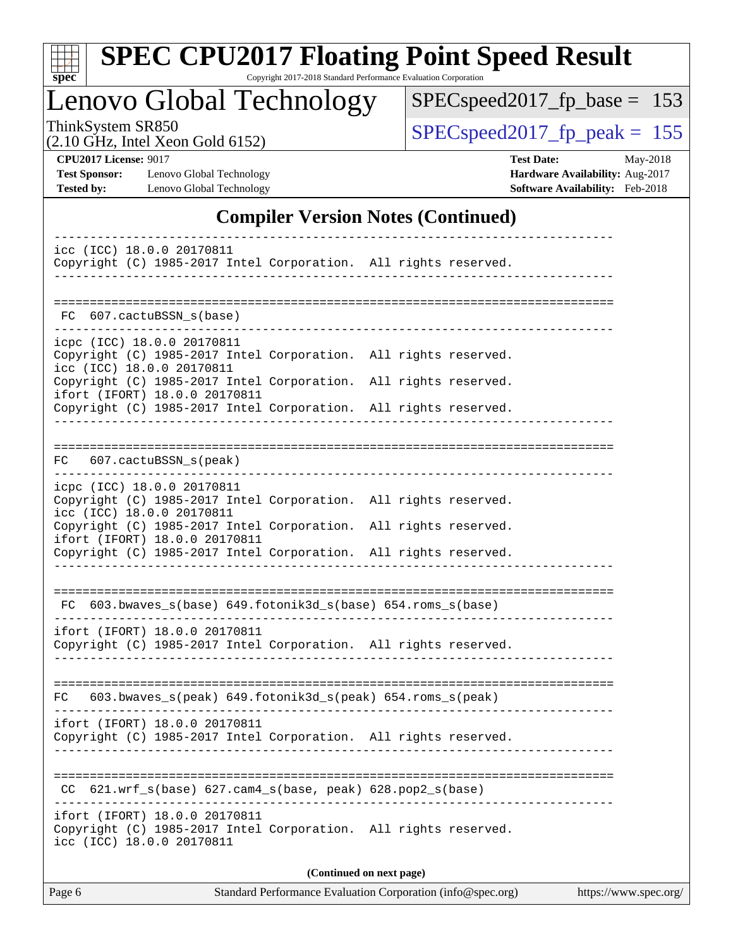| ×<br>Ľ |  |  |  |  |  |  |
|--------|--|--|--|--|--|--|

# **[SPEC CPU2017 Floating Point Speed Result](http://www.spec.org/auto/cpu2017/Docs/result-fields.html#SPECCPU2017FloatingPointSpeedResult)**

Copyright 2017-2018 Standard Performance Evaluation Corporation

Lenovo Global Technology

[SPECspeed2017\\_fp\\_base =](http://www.spec.org/auto/cpu2017/Docs/result-fields.html#SPECspeed2017fpbase) 153

(2.10 GHz, Intel Xeon Gold 6152)

ThinkSystem SR850<br>  $(2.10 \text{ GHz. Intel } X_{\text{eon} \text{ Gold } 6152})$   $\text{SPEC speed2017\_fp\_peak} = 155$ 

**[CPU2017 License:](http://www.spec.org/auto/cpu2017/Docs/result-fields.html#CPU2017License)** 9017 **[Test Date:](http://www.spec.org/auto/cpu2017/Docs/result-fields.html#TestDate)** May-2018

**[Tested by:](http://www.spec.org/auto/cpu2017/Docs/result-fields.html#Testedby)** Lenovo Global Technology **[Software Availability:](http://www.spec.org/auto/cpu2017/Docs/result-fields.html#SoftwareAvailability)** Feb-2018

**[Test Sponsor:](http://www.spec.org/auto/cpu2017/Docs/result-fields.html#TestSponsor)** Lenovo Global Technology **[Hardware Availability:](http://www.spec.org/auto/cpu2017/Docs/result-fields.html#HardwareAvailability)** Aug-2017

## **[Compiler Version Notes \(Continued\)](http://www.spec.org/auto/cpu2017/Docs/result-fields.html#CompilerVersionNotes)**

| icc (ICC) 18.0.0 20170811<br>Copyright (C) 1985-2017 Intel Corporation. All rights reserved.                                                                                                                                                                                                      |  |  |  |  |  |  |
|---------------------------------------------------------------------------------------------------------------------------------------------------------------------------------------------------------------------------------------------------------------------------------------------------|--|--|--|--|--|--|
| FC 607. cactuBSSN s(base)                                                                                                                                                                                                                                                                         |  |  |  |  |  |  |
| icpc (ICC) 18.0.0 20170811<br>Copyright (C) 1985-2017 Intel Corporation. All rights reserved.<br>icc (ICC) 18.0.0 20170811<br>Copyright (C) 1985-2017 Intel Corporation. All rights reserved.<br>ifort (IFORT) 18.0.0 20170811<br>Copyright (C) 1985-2017 Intel Corporation. All rights reserved. |  |  |  |  |  |  |
| FC 607.cactuBSSN_s(peak)                                                                                                                                                                                                                                                                          |  |  |  |  |  |  |
| icpc (ICC) 18.0.0 20170811<br>Copyright (C) 1985-2017 Intel Corporation. All rights reserved.<br>icc (ICC) 18.0.0 20170811<br>Copyright (C) 1985-2017 Intel Corporation. All rights reserved.<br>ifort (IFORT) 18.0.0 20170811<br>Copyright (C) 1985-2017 Intel Corporation. All rights reserved. |  |  |  |  |  |  |
| FC 603.bwaves_s(base) 649.fotonik3d_s(base) 654.roms_s(base)                                                                                                                                                                                                                                      |  |  |  |  |  |  |
| ifort (IFORT) 18.0.0 20170811<br>Copyright (C) 1985-2017 Intel Corporation. All rights reserved.                                                                                                                                                                                                  |  |  |  |  |  |  |
| FC 603.bwaves_s(peak) 649.fotonik3d_s(peak) 654.roms_s(peak)                                                                                                                                                                                                                                      |  |  |  |  |  |  |
| ifort (IFORT) 18.0.0 20170811<br>Copyright (C) 1985-2017 Intel Corporation. All rights reserved.                                                                                                                                                                                                  |  |  |  |  |  |  |
| $CC$ 621.wrf_s(base) 627.cam4_s(base, peak) 628.pop2_s(base)                                                                                                                                                                                                                                      |  |  |  |  |  |  |
| ifort (IFORT) 18.0.0 20170811<br>Copyright (C) 1985-2017 Intel Corporation. All rights reserved.<br>icc (ICC) 18.0.0 20170811                                                                                                                                                                     |  |  |  |  |  |  |
| (Continued on next page)                                                                                                                                                                                                                                                                          |  |  |  |  |  |  |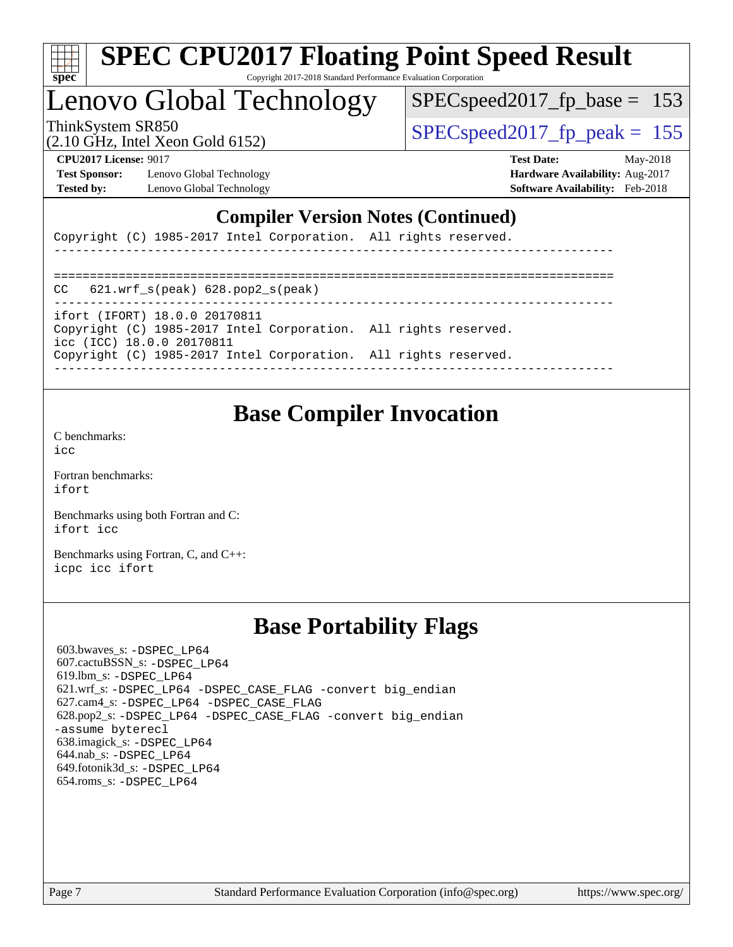

## Lenovo Global Technology

SPECspeed2017 fp base =  $153$ 

(2.10 GHz, Intel Xeon Gold 6152)

ThinkSystem SR850  $SPEC speed2017$  fp\_peak = 155

**[Test Sponsor:](http://www.spec.org/auto/cpu2017/Docs/result-fields.html#TestSponsor)** Lenovo Global Technology **[Hardware Availability:](http://www.spec.org/auto/cpu2017/Docs/result-fields.html#HardwareAvailability)** Aug-2017 **[Tested by:](http://www.spec.org/auto/cpu2017/Docs/result-fields.html#Testedby)** Lenovo Global Technology **[Software Availability:](http://www.spec.org/auto/cpu2017/Docs/result-fields.html#SoftwareAvailability)** Feb-2018

**[CPU2017 License:](http://www.spec.org/auto/cpu2017/Docs/result-fields.html#CPU2017License)** 9017 **[Test Date:](http://www.spec.org/auto/cpu2017/Docs/result-fields.html#TestDate)** May-2018

## **[Compiler Version Notes \(Continued\)](http://www.spec.org/auto/cpu2017/Docs/result-fields.html#CompilerVersionNotes)**

Copyright (C) 1985-2017 Intel Corporation. All rights reserved.

------------------------------------------------------------------------------ ============================================================================== CC 621.wrf\_s(peak) 628.pop2\_s(peak) ----------------------------------------------------------------------------- ifort (IFORT) 18.0.0 20170811 Copyright (C) 1985-2017 Intel Corporation. All rights reserved. icc (ICC) 18.0.0 20170811 Copyright (C) 1985-2017 Intel Corporation. All rights reserved. ------------------------------------------------------------------------------

## **[Base Compiler Invocation](http://www.spec.org/auto/cpu2017/Docs/result-fields.html#BaseCompilerInvocation)**

[C benchmarks](http://www.spec.org/auto/cpu2017/Docs/result-fields.html#Cbenchmarks):  $i$ cc

[Fortran benchmarks](http://www.spec.org/auto/cpu2017/Docs/result-fields.html#Fortranbenchmarks): [ifort](http://www.spec.org/cpu2017/results/res2018q2/cpu2017-20180524-05776.flags.html#user_FCbase_intel_ifort_18.0_8111460550e3ca792625aed983ce982f94888b8b503583aa7ba2b8303487b4d8a21a13e7191a45c5fd58ff318f48f9492884d4413fa793fd88dd292cad7027ca)

[Benchmarks using both Fortran and C](http://www.spec.org/auto/cpu2017/Docs/result-fields.html#BenchmarksusingbothFortranandC): [ifort](http://www.spec.org/cpu2017/results/res2018q2/cpu2017-20180524-05776.flags.html#user_CC_FCbase_intel_ifort_18.0_8111460550e3ca792625aed983ce982f94888b8b503583aa7ba2b8303487b4d8a21a13e7191a45c5fd58ff318f48f9492884d4413fa793fd88dd292cad7027ca) [icc](http://www.spec.org/cpu2017/results/res2018q2/cpu2017-20180524-05776.flags.html#user_CC_FCbase_intel_icc_18.0_66fc1ee009f7361af1fbd72ca7dcefbb700085f36577c54f309893dd4ec40d12360134090235512931783d35fd58c0460139e722d5067c5574d8eaf2b3e37e92)

[Benchmarks using Fortran, C, and C++:](http://www.spec.org/auto/cpu2017/Docs/result-fields.html#BenchmarksusingFortranCandCXX) [icpc](http://www.spec.org/cpu2017/results/res2018q2/cpu2017-20180524-05776.flags.html#user_CC_CXX_FCbase_intel_icpc_18.0_c510b6838c7f56d33e37e94d029a35b4a7bccf4766a728ee175e80a419847e808290a9b78be685c44ab727ea267ec2f070ec5dc83b407c0218cded6866a35d07) [icc](http://www.spec.org/cpu2017/results/res2018q2/cpu2017-20180524-05776.flags.html#user_CC_CXX_FCbase_intel_icc_18.0_66fc1ee009f7361af1fbd72ca7dcefbb700085f36577c54f309893dd4ec40d12360134090235512931783d35fd58c0460139e722d5067c5574d8eaf2b3e37e92) [ifort](http://www.spec.org/cpu2017/results/res2018q2/cpu2017-20180524-05776.flags.html#user_CC_CXX_FCbase_intel_ifort_18.0_8111460550e3ca792625aed983ce982f94888b8b503583aa7ba2b8303487b4d8a21a13e7191a45c5fd58ff318f48f9492884d4413fa793fd88dd292cad7027ca)

## **[Base Portability Flags](http://www.spec.org/auto/cpu2017/Docs/result-fields.html#BasePortabilityFlags)**

 603.bwaves\_s: [-DSPEC\\_LP64](http://www.spec.org/cpu2017/results/res2018q2/cpu2017-20180524-05776.flags.html#suite_basePORTABILITY603_bwaves_s_DSPEC_LP64) 607.cactuBSSN\_s: [-DSPEC\\_LP64](http://www.spec.org/cpu2017/results/res2018q2/cpu2017-20180524-05776.flags.html#suite_basePORTABILITY607_cactuBSSN_s_DSPEC_LP64) 619.lbm\_s: [-DSPEC\\_LP64](http://www.spec.org/cpu2017/results/res2018q2/cpu2017-20180524-05776.flags.html#suite_basePORTABILITY619_lbm_s_DSPEC_LP64) 621.wrf\_s: [-DSPEC\\_LP64](http://www.spec.org/cpu2017/results/res2018q2/cpu2017-20180524-05776.flags.html#suite_basePORTABILITY621_wrf_s_DSPEC_LP64) [-DSPEC\\_CASE\\_FLAG](http://www.spec.org/cpu2017/results/res2018q2/cpu2017-20180524-05776.flags.html#b621.wrf_s_baseCPORTABILITY_DSPEC_CASE_FLAG) [-convert big\\_endian](http://www.spec.org/cpu2017/results/res2018q2/cpu2017-20180524-05776.flags.html#user_baseFPORTABILITY621_wrf_s_convert_big_endian_c3194028bc08c63ac5d04de18c48ce6d347e4e562e8892b8bdbdc0214820426deb8554edfa529a3fb25a586e65a3d812c835984020483e7e73212c4d31a38223) 627.cam4\_s: [-DSPEC\\_LP64](http://www.spec.org/cpu2017/results/res2018q2/cpu2017-20180524-05776.flags.html#suite_basePORTABILITY627_cam4_s_DSPEC_LP64) [-DSPEC\\_CASE\\_FLAG](http://www.spec.org/cpu2017/results/res2018q2/cpu2017-20180524-05776.flags.html#b627.cam4_s_baseCPORTABILITY_DSPEC_CASE_FLAG) 628.pop2\_s: [-DSPEC\\_LP64](http://www.spec.org/cpu2017/results/res2018q2/cpu2017-20180524-05776.flags.html#suite_basePORTABILITY628_pop2_s_DSPEC_LP64) [-DSPEC\\_CASE\\_FLAG](http://www.spec.org/cpu2017/results/res2018q2/cpu2017-20180524-05776.flags.html#b628.pop2_s_baseCPORTABILITY_DSPEC_CASE_FLAG) [-convert big\\_endian](http://www.spec.org/cpu2017/results/res2018q2/cpu2017-20180524-05776.flags.html#user_baseFPORTABILITY628_pop2_s_convert_big_endian_c3194028bc08c63ac5d04de18c48ce6d347e4e562e8892b8bdbdc0214820426deb8554edfa529a3fb25a586e65a3d812c835984020483e7e73212c4d31a38223) [-assume byterecl](http://www.spec.org/cpu2017/results/res2018q2/cpu2017-20180524-05776.flags.html#user_baseFPORTABILITY628_pop2_s_assume_byterecl_7e47d18b9513cf18525430bbf0f2177aa9bf368bc7a059c09b2c06a34b53bd3447c950d3f8d6c70e3faf3a05c8557d66a5798b567902e8849adc142926523472) 638.imagick\_s: [-DSPEC\\_LP64](http://www.spec.org/cpu2017/results/res2018q2/cpu2017-20180524-05776.flags.html#suite_basePORTABILITY638_imagick_s_DSPEC_LP64) 644.nab\_s: [-DSPEC\\_LP64](http://www.spec.org/cpu2017/results/res2018q2/cpu2017-20180524-05776.flags.html#suite_basePORTABILITY644_nab_s_DSPEC_LP64) 649.fotonik3d\_s: [-DSPEC\\_LP64](http://www.spec.org/cpu2017/results/res2018q2/cpu2017-20180524-05776.flags.html#suite_basePORTABILITY649_fotonik3d_s_DSPEC_LP64) 654.roms\_s: [-DSPEC\\_LP64](http://www.spec.org/cpu2017/results/res2018q2/cpu2017-20180524-05776.flags.html#suite_basePORTABILITY654_roms_s_DSPEC_LP64)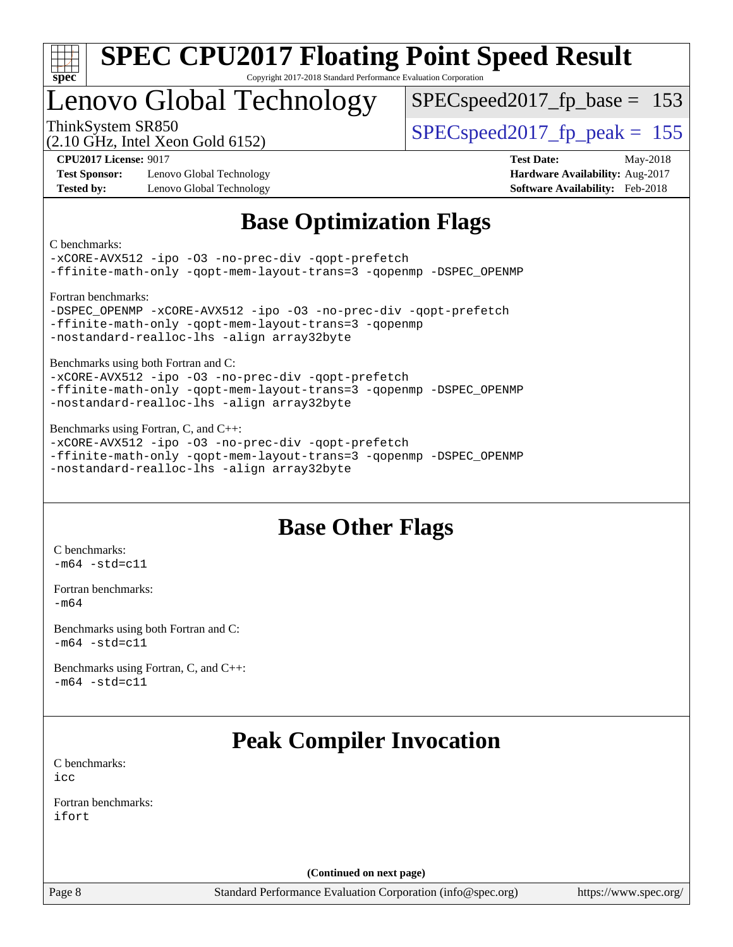

# Lenovo Global Technology

SPECspeed2017 fp base =  $153$ 

(2.10 GHz, Intel Xeon Gold 6152)

ThinkSystem SR850  $SPEC speed2017$  fp\_peak = 155

**[Test Sponsor:](http://www.spec.org/auto/cpu2017/Docs/result-fields.html#TestSponsor)** Lenovo Global Technology **[Hardware Availability:](http://www.spec.org/auto/cpu2017/Docs/result-fields.html#HardwareAvailability)** Aug-2017 **[Tested by:](http://www.spec.org/auto/cpu2017/Docs/result-fields.html#Testedby)** Lenovo Global Technology **[Software Availability:](http://www.spec.org/auto/cpu2017/Docs/result-fields.html#SoftwareAvailability)** Feb-2018

**[CPU2017 License:](http://www.spec.org/auto/cpu2017/Docs/result-fields.html#CPU2017License)** 9017 **[Test Date:](http://www.spec.org/auto/cpu2017/Docs/result-fields.html#TestDate)** May-2018

## **[Base Optimization Flags](http://www.spec.org/auto/cpu2017/Docs/result-fields.html#BaseOptimizationFlags)**

[C benchmarks](http://www.spec.org/auto/cpu2017/Docs/result-fields.html#Cbenchmarks):

```
-xCORE-AVX512 -ipo -O3 -no-prec-div -qopt-prefetch
-ffinite-math-only -qopt-mem-layout-trans=3 -qopenmp -DSPEC_OPENMP
Fortran benchmarks: 
-DSPEC_OPENMP -xCORE-AVX512 -ipo -O3 -no-prec-div -qopt-prefetch
-ffinite-math-only -qopt-mem-layout-trans=3 -qopenmp
-nostandard-realloc-lhs -align array32byte
Benchmarks using both Fortran and C: 
-xCORE-AVX512 -ipo -O3 -no-prec-div -qopt-prefetch
-ffinite-math-only -qopt-mem-layout-trans=3 -qopenmp -DSPEC_OPENMP
-nostandard-realloc-lhs -align array32byte
Benchmarks using Fortran, C, and C++: 
-xCORE-AVX512 -ipo -O3 -no-prec-div -qopt-prefetch
```
[-ffinite-math-only](http://www.spec.org/cpu2017/results/res2018q2/cpu2017-20180524-05776.flags.html#user_CC_CXX_FCbase_f_finite_math_only_cb91587bd2077682c4b38af759c288ed7c732db004271a9512da14a4f8007909a5f1427ecbf1a0fb78ff2a814402c6114ac565ca162485bbcae155b5e4258871) [-qopt-mem-layout-trans=3](http://www.spec.org/cpu2017/results/res2018q2/cpu2017-20180524-05776.flags.html#user_CC_CXX_FCbase_f-qopt-mem-layout-trans_de80db37974c74b1f0e20d883f0b675c88c3b01e9d123adea9b28688d64333345fb62bc4a798493513fdb68f60282f9a726aa07f478b2f7113531aecce732043) [-qopenmp](http://www.spec.org/cpu2017/results/res2018q2/cpu2017-20180524-05776.flags.html#user_CC_CXX_FCbase_qopenmp_16be0c44f24f464004c6784a7acb94aca937f053568ce72f94b139a11c7c168634a55f6653758ddd83bcf7b8463e8028bb0b48b77bcddc6b78d5d95bb1df2967) [-DSPEC\\_OPENMP](http://www.spec.org/cpu2017/results/res2018q2/cpu2017-20180524-05776.flags.html#suite_CC_CXX_FCbase_DSPEC_OPENMP) [-nostandard-realloc-lhs](http://www.spec.org/cpu2017/results/res2018q2/cpu2017-20180524-05776.flags.html#user_CC_CXX_FCbase_f_2003_std_realloc_82b4557e90729c0f113870c07e44d33d6f5a304b4f63d4c15d2d0f1fab99f5daaed73bdb9275d9ae411527f28b936061aa8b9c8f2d63842963b95c9dd6426b8a) [-align array32byte](http://www.spec.org/cpu2017/results/res2018q2/cpu2017-20180524-05776.flags.html#user_CC_CXX_FCbase_align_array32byte_b982fe038af199962ba9a80c053b8342c548c85b40b8e86eb3cc33dee0d7986a4af373ac2d51c3f7cf710a18d62fdce2948f201cd044323541f22fc0fffc51b6)

## **[Base Other Flags](http://www.spec.org/auto/cpu2017/Docs/result-fields.html#BaseOtherFlags)**

[C benchmarks](http://www.spec.org/auto/cpu2017/Docs/result-fields.html#Cbenchmarks):  $-m64 - std= c11$  $-m64 - std= c11$ 

[Fortran benchmarks](http://www.spec.org/auto/cpu2017/Docs/result-fields.html#Fortranbenchmarks): [-m64](http://www.spec.org/cpu2017/results/res2018q2/cpu2017-20180524-05776.flags.html#user_FCbase_intel_intel64_18.0_af43caccfc8ded86e7699f2159af6efc7655f51387b94da716254467f3c01020a5059329e2569e4053f409e7c9202a7efc638f7a6d1ffb3f52dea4a3e31d82ab)

[Benchmarks using both Fortran and C](http://www.spec.org/auto/cpu2017/Docs/result-fields.html#BenchmarksusingbothFortranandC):  $-m64$   $-std=cl1$ 

[Benchmarks using Fortran, C, and C++:](http://www.spec.org/auto/cpu2017/Docs/result-fields.html#BenchmarksusingFortranCandCXX)  $-m64 - std= c11$  $-m64 - std= c11$ 

## **[Peak Compiler Invocation](http://www.spec.org/auto/cpu2017/Docs/result-fields.html#PeakCompilerInvocation)**

[C benchmarks](http://www.spec.org/auto/cpu2017/Docs/result-fields.html#Cbenchmarks): [icc](http://www.spec.org/cpu2017/results/res2018q2/cpu2017-20180524-05776.flags.html#user_CCpeak_intel_icc_18.0_66fc1ee009f7361af1fbd72ca7dcefbb700085f36577c54f309893dd4ec40d12360134090235512931783d35fd58c0460139e722d5067c5574d8eaf2b3e37e92)

[Fortran benchmarks](http://www.spec.org/auto/cpu2017/Docs/result-fields.html#Fortranbenchmarks): [ifort](http://www.spec.org/cpu2017/results/res2018q2/cpu2017-20180524-05776.flags.html#user_FCpeak_intel_ifort_18.0_8111460550e3ca792625aed983ce982f94888b8b503583aa7ba2b8303487b4d8a21a13e7191a45c5fd58ff318f48f9492884d4413fa793fd88dd292cad7027ca)

**(Continued on next page)**

Page 8 Standard Performance Evaluation Corporation [\(info@spec.org\)](mailto:info@spec.org) <https://www.spec.org/>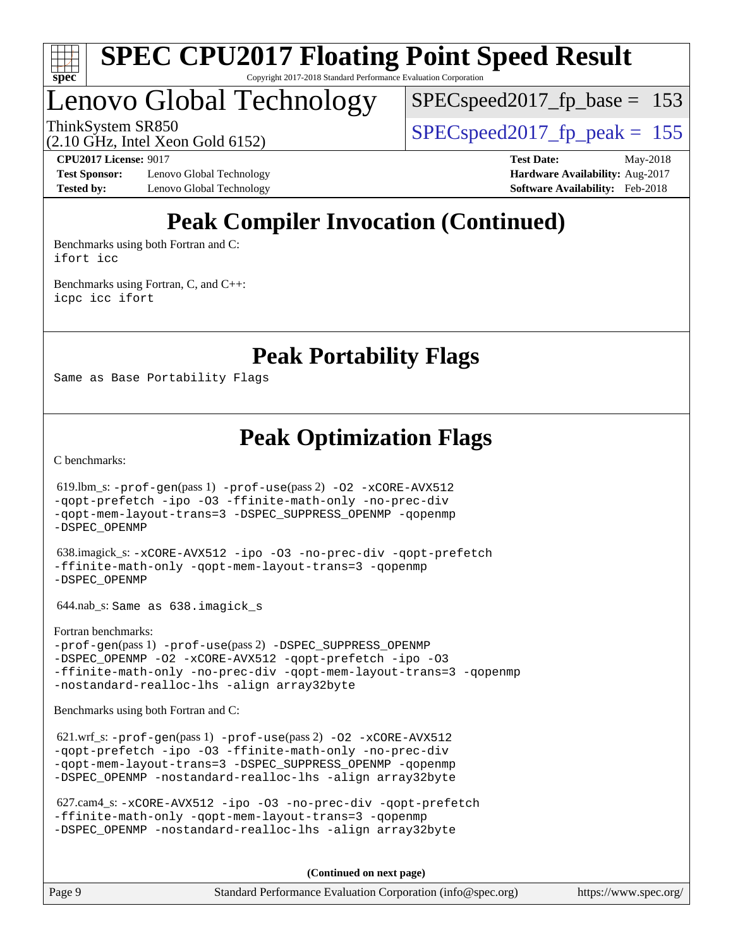

Lenovo Global Technology

 $SPEC speed2017_fp\_base = 153$ 

ThinkSystem SR850  $SPEC speed2017$  fp\_peak = 155

(2.10 GHz, Intel Xeon Gold 6152)

**[Test Sponsor:](http://www.spec.org/auto/cpu2017/Docs/result-fields.html#TestSponsor)** Lenovo Global Technology **[Hardware Availability:](http://www.spec.org/auto/cpu2017/Docs/result-fields.html#HardwareAvailability)** Aug-2017 **[Tested by:](http://www.spec.org/auto/cpu2017/Docs/result-fields.html#Testedby)** Lenovo Global Technology **[Software Availability:](http://www.spec.org/auto/cpu2017/Docs/result-fields.html#SoftwareAvailability)** Feb-2018

**[CPU2017 License:](http://www.spec.org/auto/cpu2017/Docs/result-fields.html#CPU2017License)** 9017 **[Test Date:](http://www.spec.org/auto/cpu2017/Docs/result-fields.html#TestDate)** May-2018

# **[Peak Compiler Invocation \(Continued\)](http://www.spec.org/auto/cpu2017/Docs/result-fields.html#PeakCompilerInvocation)**

[Benchmarks using both Fortran and C](http://www.spec.org/auto/cpu2017/Docs/result-fields.html#BenchmarksusingbothFortranandC): [ifort](http://www.spec.org/cpu2017/results/res2018q2/cpu2017-20180524-05776.flags.html#user_CC_FCpeak_intel_ifort_18.0_8111460550e3ca792625aed983ce982f94888b8b503583aa7ba2b8303487b4d8a21a13e7191a45c5fd58ff318f48f9492884d4413fa793fd88dd292cad7027ca) [icc](http://www.spec.org/cpu2017/results/res2018q2/cpu2017-20180524-05776.flags.html#user_CC_FCpeak_intel_icc_18.0_66fc1ee009f7361af1fbd72ca7dcefbb700085f36577c54f309893dd4ec40d12360134090235512931783d35fd58c0460139e722d5067c5574d8eaf2b3e37e92)

[Benchmarks using Fortran, C, and C++:](http://www.spec.org/auto/cpu2017/Docs/result-fields.html#BenchmarksusingFortranCandCXX) [icpc](http://www.spec.org/cpu2017/results/res2018q2/cpu2017-20180524-05776.flags.html#user_CC_CXX_FCpeak_intel_icpc_18.0_c510b6838c7f56d33e37e94d029a35b4a7bccf4766a728ee175e80a419847e808290a9b78be685c44ab727ea267ec2f070ec5dc83b407c0218cded6866a35d07) [icc](http://www.spec.org/cpu2017/results/res2018q2/cpu2017-20180524-05776.flags.html#user_CC_CXX_FCpeak_intel_icc_18.0_66fc1ee009f7361af1fbd72ca7dcefbb700085f36577c54f309893dd4ec40d12360134090235512931783d35fd58c0460139e722d5067c5574d8eaf2b3e37e92) [ifort](http://www.spec.org/cpu2017/results/res2018q2/cpu2017-20180524-05776.flags.html#user_CC_CXX_FCpeak_intel_ifort_18.0_8111460550e3ca792625aed983ce982f94888b8b503583aa7ba2b8303487b4d8a21a13e7191a45c5fd58ff318f48f9492884d4413fa793fd88dd292cad7027ca)

**[Peak Portability Flags](http://www.spec.org/auto/cpu2017/Docs/result-fields.html#PeakPortabilityFlags)**

Same as Base Portability Flags

**[Peak Optimization Flags](http://www.spec.org/auto/cpu2017/Docs/result-fields.html#PeakOptimizationFlags)**

[C benchmarks](http://www.spec.org/auto/cpu2017/Docs/result-fields.html#Cbenchmarks):

 619.lbm\_s: [-prof-gen](http://www.spec.org/cpu2017/results/res2018q2/cpu2017-20180524-05776.flags.html#user_peakPASS1_CFLAGSPASS1_LDFLAGS619_lbm_s_prof_gen_5aa4926d6013ddb2a31985c654b3eb18169fc0c6952a63635c234f711e6e63dd76e94ad52365559451ec499a2cdb89e4dc58ba4c67ef54ca681ffbe1461d6b36)(pass 1) [-prof-use](http://www.spec.org/cpu2017/results/res2018q2/cpu2017-20180524-05776.flags.html#user_peakPASS2_CFLAGSPASS2_LDFLAGS619_lbm_s_prof_use_1a21ceae95f36a2b53c25747139a6c16ca95bd9def2a207b4f0849963b97e94f5260e30a0c64f4bb623698870e679ca08317ef8150905d41bd88c6f78df73f19)(pass 2) [-O2](http://www.spec.org/cpu2017/results/res2018q2/cpu2017-20180524-05776.flags.html#user_peakPASS1_COPTIMIZE619_lbm_s_f-O2) [-xCORE-AVX512](http://www.spec.org/cpu2017/results/res2018q2/cpu2017-20180524-05776.flags.html#user_peakPASS2_COPTIMIZE619_lbm_s_f-xCORE-AVX512) [-qopt-prefetch](http://www.spec.org/cpu2017/results/res2018q2/cpu2017-20180524-05776.flags.html#user_peakPASS1_COPTIMIZEPASS2_COPTIMIZE619_lbm_s_f-qopt-prefetch) [-ipo](http://www.spec.org/cpu2017/results/res2018q2/cpu2017-20180524-05776.flags.html#user_peakPASS2_COPTIMIZE619_lbm_s_f-ipo) [-O3](http://www.spec.org/cpu2017/results/res2018q2/cpu2017-20180524-05776.flags.html#user_peakPASS2_COPTIMIZE619_lbm_s_f-O3) [-ffinite-math-only](http://www.spec.org/cpu2017/results/res2018q2/cpu2017-20180524-05776.flags.html#user_peakPASS1_COPTIMIZEPASS2_COPTIMIZE619_lbm_s_f_finite_math_only_cb91587bd2077682c4b38af759c288ed7c732db004271a9512da14a4f8007909a5f1427ecbf1a0fb78ff2a814402c6114ac565ca162485bbcae155b5e4258871) [-no-prec-div](http://www.spec.org/cpu2017/results/res2018q2/cpu2017-20180524-05776.flags.html#user_peakPASS2_COPTIMIZE619_lbm_s_f-no-prec-div) [-qopt-mem-layout-trans=3](http://www.spec.org/cpu2017/results/res2018q2/cpu2017-20180524-05776.flags.html#user_peakPASS1_COPTIMIZEPASS2_COPTIMIZE619_lbm_s_f-qopt-mem-layout-trans_de80db37974c74b1f0e20d883f0b675c88c3b01e9d123adea9b28688d64333345fb62bc4a798493513fdb68f60282f9a726aa07f478b2f7113531aecce732043) [-DSPEC\\_SUPPRESS\\_OPENMP](http://www.spec.org/cpu2017/results/res2018q2/cpu2017-20180524-05776.flags.html#suite_peakPASS1_COPTIMIZE619_lbm_s_DSPEC_SUPPRESS_OPENMP) [-qopenmp](http://www.spec.org/cpu2017/results/res2018q2/cpu2017-20180524-05776.flags.html#user_peakPASS2_COPTIMIZE619_lbm_s_qopenmp_16be0c44f24f464004c6784a7acb94aca937f053568ce72f94b139a11c7c168634a55f6653758ddd83bcf7b8463e8028bb0b48b77bcddc6b78d5d95bb1df2967) [-DSPEC\\_OPENMP](http://www.spec.org/cpu2017/results/res2018q2/cpu2017-20180524-05776.flags.html#suite_peakPASS2_COPTIMIZE619_lbm_s_DSPEC_OPENMP) 638.imagick\_s: [-xCORE-AVX512](http://www.spec.org/cpu2017/results/res2018q2/cpu2017-20180524-05776.flags.html#user_peakCOPTIMIZE638_imagick_s_f-xCORE-AVX512) [-ipo](http://www.spec.org/cpu2017/results/res2018q2/cpu2017-20180524-05776.flags.html#user_peakCOPTIMIZE638_imagick_s_f-ipo) [-O3](http://www.spec.org/cpu2017/results/res2018q2/cpu2017-20180524-05776.flags.html#user_peakCOPTIMIZE638_imagick_s_f-O3) [-no-prec-div](http://www.spec.org/cpu2017/results/res2018q2/cpu2017-20180524-05776.flags.html#user_peakCOPTIMIZE638_imagick_s_f-no-prec-div) [-qopt-prefetch](http://www.spec.org/cpu2017/results/res2018q2/cpu2017-20180524-05776.flags.html#user_peakCOPTIMIZE638_imagick_s_f-qopt-prefetch) [-ffinite-math-only](http://www.spec.org/cpu2017/results/res2018q2/cpu2017-20180524-05776.flags.html#user_peakCOPTIMIZE638_imagick_s_f_finite_math_only_cb91587bd2077682c4b38af759c288ed7c732db004271a9512da14a4f8007909a5f1427ecbf1a0fb78ff2a814402c6114ac565ca162485bbcae155b5e4258871) [-qopt-mem-layout-trans=3](http://www.spec.org/cpu2017/results/res2018q2/cpu2017-20180524-05776.flags.html#user_peakCOPTIMIZE638_imagick_s_f-qopt-mem-layout-trans_de80db37974c74b1f0e20d883f0b675c88c3b01e9d123adea9b28688d64333345fb62bc4a798493513fdb68f60282f9a726aa07f478b2f7113531aecce732043) [-qopenmp](http://www.spec.org/cpu2017/results/res2018q2/cpu2017-20180524-05776.flags.html#user_peakCOPTIMIZE638_imagick_s_qopenmp_16be0c44f24f464004c6784a7acb94aca937f053568ce72f94b139a11c7c168634a55f6653758ddd83bcf7b8463e8028bb0b48b77bcddc6b78d5d95bb1df2967) [-DSPEC\\_OPENMP](http://www.spec.org/cpu2017/results/res2018q2/cpu2017-20180524-05776.flags.html#suite_peakCOPTIMIZE638_imagick_s_DSPEC_OPENMP) 644.nab\_s: Same as 638.imagick\_s [Fortran benchmarks](http://www.spec.org/auto/cpu2017/Docs/result-fields.html#Fortranbenchmarks): [-prof-gen](http://www.spec.org/cpu2017/results/res2018q2/cpu2017-20180524-05776.flags.html#user_FCpeak_prof_gen_5aa4926d6013ddb2a31985c654b3eb18169fc0c6952a63635c234f711e6e63dd76e94ad52365559451ec499a2cdb89e4dc58ba4c67ef54ca681ffbe1461d6b36)(pass 1) [-prof-use](http://www.spec.org/cpu2017/results/res2018q2/cpu2017-20180524-05776.flags.html#user_FCpeak_prof_use_1a21ceae95f36a2b53c25747139a6c16ca95bd9def2a207b4f0849963b97e94f5260e30a0c64f4bb623698870e679ca08317ef8150905d41bd88c6f78df73f19)(pass 2) [-DSPEC\\_SUPPRESS\\_OPENMP](http://www.spec.org/cpu2017/results/res2018q2/cpu2017-20180524-05776.flags.html#suite_FCpeak_DSPEC_SUPPRESS_OPENMP) -DSPEC OPENMP [-O2](http://www.spec.org/cpu2017/results/res2018q2/cpu2017-20180524-05776.flags.html#user_FCpeak_f-O2) [-xCORE-AVX512](http://www.spec.org/cpu2017/results/res2018q2/cpu2017-20180524-05776.flags.html#user_FCpeak_f-xCORE-AVX512) [-qopt-prefetch](http://www.spec.org/cpu2017/results/res2018q2/cpu2017-20180524-05776.flags.html#user_FCpeak_f-qopt-prefetch) [-ipo](http://www.spec.org/cpu2017/results/res2018q2/cpu2017-20180524-05776.flags.html#user_FCpeak_f-ipo) [-O3](http://www.spec.org/cpu2017/results/res2018q2/cpu2017-20180524-05776.flags.html#user_FCpeak_f-O3) [-ffinite-math-only](http://www.spec.org/cpu2017/results/res2018q2/cpu2017-20180524-05776.flags.html#user_FCpeak_f_finite_math_only_cb91587bd2077682c4b38af759c288ed7c732db004271a9512da14a4f8007909a5f1427ecbf1a0fb78ff2a814402c6114ac565ca162485bbcae155b5e4258871) [-no-prec-div](http://www.spec.org/cpu2017/results/res2018q2/cpu2017-20180524-05776.flags.html#user_FCpeak_f-no-prec-div) [-qopt-mem-layout-trans=3](http://www.spec.org/cpu2017/results/res2018q2/cpu2017-20180524-05776.flags.html#user_FCpeak_f-qopt-mem-layout-trans_de80db37974c74b1f0e20d883f0b675c88c3b01e9d123adea9b28688d64333345fb62bc4a798493513fdb68f60282f9a726aa07f478b2f7113531aecce732043) [-qopenmp](http://www.spec.org/cpu2017/results/res2018q2/cpu2017-20180524-05776.flags.html#user_FCpeak_qopenmp_16be0c44f24f464004c6784a7acb94aca937f053568ce72f94b139a11c7c168634a55f6653758ddd83bcf7b8463e8028bb0b48b77bcddc6b78d5d95bb1df2967) [-nostandard-realloc-lhs](http://www.spec.org/cpu2017/results/res2018q2/cpu2017-20180524-05776.flags.html#user_FCpeak_f_2003_std_realloc_82b4557e90729c0f113870c07e44d33d6f5a304b4f63d4c15d2d0f1fab99f5daaed73bdb9275d9ae411527f28b936061aa8b9c8f2d63842963b95c9dd6426b8a) [-align array32byte](http://www.spec.org/cpu2017/results/res2018q2/cpu2017-20180524-05776.flags.html#user_FCpeak_align_array32byte_b982fe038af199962ba9a80c053b8342c548c85b40b8e86eb3cc33dee0d7986a4af373ac2d51c3f7cf710a18d62fdce2948f201cd044323541f22fc0fffc51b6) [Benchmarks using both Fortran and C](http://www.spec.org/auto/cpu2017/Docs/result-fields.html#BenchmarksusingbothFortranandC): 621.wrf\_s: [-prof-gen](http://www.spec.org/cpu2017/results/res2018q2/cpu2017-20180524-05776.flags.html#user_peakPASS1_CFLAGSPASS1_FFLAGSPASS1_LDFLAGS621_wrf_s_prof_gen_5aa4926d6013ddb2a31985c654b3eb18169fc0c6952a63635c234f711e6e63dd76e94ad52365559451ec499a2cdb89e4dc58ba4c67ef54ca681ffbe1461d6b36)(pass 1) [-prof-use](http://www.spec.org/cpu2017/results/res2018q2/cpu2017-20180524-05776.flags.html#user_peakPASS2_CFLAGSPASS2_FFLAGSPASS2_LDFLAGS621_wrf_s_prof_use_1a21ceae95f36a2b53c25747139a6c16ca95bd9def2a207b4f0849963b97e94f5260e30a0c64f4bb623698870e679ca08317ef8150905d41bd88c6f78df73f19)(pass 2) [-O2](http://www.spec.org/cpu2017/results/res2018q2/cpu2017-20180524-05776.flags.html#user_peakPASS1_COPTIMIZEPASS1_FOPTIMIZE621_wrf_s_f-O2) [-xCORE-AVX512](http://www.spec.org/cpu2017/results/res2018q2/cpu2017-20180524-05776.flags.html#user_peakPASS2_COPTIMIZEPASS2_FOPTIMIZE621_wrf_s_f-xCORE-AVX512) [-qopt-prefetch](http://www.spec.org/cpu2017/results/res2018q2/cpu2017-20180524-05776.flags.html#user_peakPASS1_COPTIMIZEPASS1_FOPTIMIZEPASS2_COPTIMIZEPASS2_FOPTIMIZE621_wrf_s_f-qopt-prefetch) [-ipo](http://www.spec.org/cpu2017/results/res2018q2/cpu2017-20180524-05776.flags.html#user_peakPASS2_COPTIMIZEPASS2_FOPTIMIZE621_wrf_s_f-ipo) [-O3](http://www.spec.org/cpu2017/results/res2018q2/cpu2017-20180524-05776.flags.html#user_peakPASS2_COPTIMIZEPASS2_FOPTIMIZE621_wrf_s_f-O3) [-ffinite-math-only](http://www.spec.org/cpu2017/results/res2018q2/cpu2017-20180524-05776.flags.html#user_peakPASS1_COPTIMIZEPASS1_FOPTIMIZEPASS2_COPTIMIZEPASS2_FOPTIMIZE621_wrf_s_f_finite_math_only_cb91587bd2077682c4b38af759c288ed7c732db004271a9512da14a4f8007909a5f1427ecbf1a0fb78ff2a814402c6114ac565ca162485bbcae155b5e4258871) [-no-prec-div](http://www.spec.org/cpu2017/results/res2018q2/cpu2017-20180524-05776.flags.html#user_peakPASS2_COPTIMIZEPASS2_FOPTIMIZE621_wrf_s_f-no-prec-div) [-qopt-mem-layout-trans=3](http://www.spec.org/cpu2017/results/res2018q2/cpu2017-20180524-05776.flags.html#user_peakPASS1_COPTIMIZEPASS1_FOPTIMIZEPASS2_COPTIMIZEPASS2_FOPTIMIZE621_wrf_s_f-qopt-mem-layout-trans_de80db37974c74b1f0e20d883f0b675c88c3b01e9d123adea9b28688d64333345fb62bc4a798493513fdb68f60282f9a726aa07f478b2f7113531aecce732043) [-DSPEC\\_SUPPRESS\\_OPENMP](http://www.spec.org/cpu2017/results/res2018q2/cpu2017-20180524-05776.flags.html#suite_peakPASS1_COPTIMIZEPASS1_FOPTIMIZE621_wrf_s_DSPEC_SUPPRESS_OPENMP) [-qopenmp](http://www.spec.org/cpu2017/results/res2018q2/cpu2017-20180524-05776.flags.html#user_peakPASS2_COPTIMIZEPASS2_FOPTIMIZE621_wrf_s_qopenmp_16be0c44f24f464004c6784a7acb94aca937f053568ce72f94b139a11c7c168634a55f6653758ddd83bcf7b8463e8028bb0b48b77bcddc6b78d5d95bb1df2967) [-DSPEC\\_OPENMP](http://www.spec.org/cpu2017/results/res2018q2/cpu2017-20180524-05776.flags.html#suite_peakPASS2_COPTIMIZEPASS2_FOPTIMIZE621_wrf_s_DSPEC_OPENMP) [-nostandard-realloc-lhs](http://www.spec.org/cpu2017/results/res2018q2/cpu2017-20180524-05776.flags.html#user_peakEXTRA_FOPTIMIZE621_wrf_s_f_2003_std_realloc_82b4557e90729c0f113870c07e44d33d6f5a304b4f63d4c15d2d0f1fab99f5daaed73bdb9275d9ae411527f28b936061aa8b9c8f2d63842963b95c9dd6426b8a) [-align array32byte](http://www.spec.org/cpu2017/results/res2018q2/cpu2017-20180524-05776.flags.html#user_peakEXTRA_FOPTIMIZE621_wrf_s_align_array32byte_b982fe038af199962ba9a80c053b8342c548c85b40b8e86eb3cc33dee0d7986a4af373ac2d51c3f7cf710a18d62fdce2948f201cd044323541f22fc0fffc51b6)

```
 627.cam4_s: -xCORE-AVX512 -ipo -O3 -no-prec-div -qopt-prefetch
-ffinite-math-only -qopt-mem-layout-trans=3 -qopenmp
-DSPEC_OPENMP -nostandard-realloc-lhs -align array32byte
```
**(Continued on next page)**